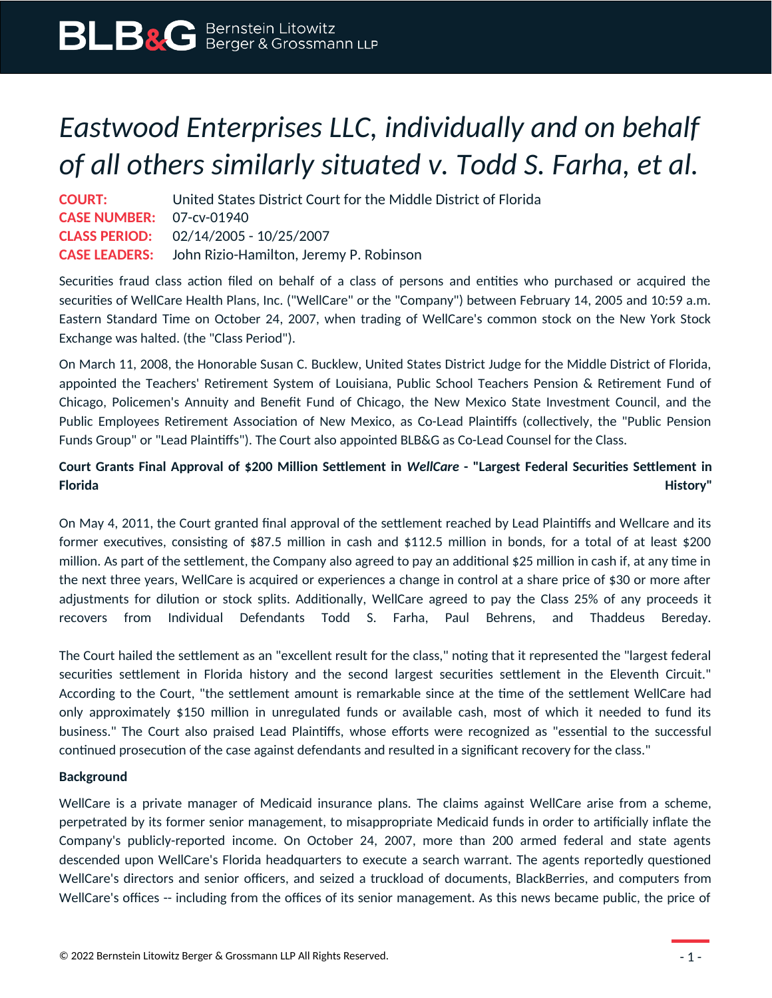## *Eastwood Enterprises LLC, individually and on behalf of all others similarly situated v. Todd S. Farha, et al.*

| <b>COURT:</b>                   | United States District Court for the Middle District of Florida |
|---------------------------------|-----------------------------------------------------------------|
| <b>CASE NUMBER: 07-cv-01940</b> |                                                                 |
|                                 | <b>CLASS PERIOD:</b> 02/14/2005 - 10/25/2007                    |
|                                 | <b>CASE LEADERS:</b> John Rizio-Hamilton, Jeremy P. Robinson    |

Securities fraud class action filed on behalf of a class of persons and entities who purchased or acquired the securities of WellCare Health Plans, Inc. ("WellCare" or the "Company") between February 14, 2005 and 10:59 a.m. Eastern Standard Time on October 24, 2007, when trading of WellCare's common stock on the New York Stock Exchange was halted. (the "Class Period").

On March 11, 2008, the Honorable Susan C. Bucklew, United States District Judge for the Middle District of Florida, appointed the Teachers' Retirement System of Louisiana, Public School Teachers Pension & Retirement Fund of Chicago, Policemen's Annuity and Benefit Fund of Chicago, the New Mexico State Investment Council, and the Public Employees Retirement Association of New Mexico, as Co-Lead Plaintiffs (collectively, the "Public Pension Funds Group" or "Lead Plaintiffs"). The Court also appointed BLB&G as Co-Lead Counsel for the Class.

## **Court Grants Final Approval of \$200 Million Settlement in** *WellCare* **- "Largest Federal Securities Settlement in Florida History"**

On May 4, 2011, the Court granted final approval of the settlement reached by Lead Plaintiffs and Wellcare and its former executives, consisting of \$87.5 million in cash and \$112.5 million in bonds, for a total of at least \$200 million. As part of the settlement, the Company also agreed to pay an additional \$25 million in cash if, at any time in the next three years, WellCare is acquired or experiences a change in control at a share price of \$30 or more after adjustments for dilution or stock splits. Additionally, WellCare agreed to pay the Class 25% of any proceeds it recovers from Individual Defendants Todd S. Farha, Paul Behrens, and Thaddeus Bereday.

The Court hailed the settlement as an "excellent result for the class," noting that it represented the "largest federal securities settlement in Florida history and the second largest securities settlement in the Eleventh Circuit." According to the Court, "the settlement amount is remarkable since at the time of the settlement WellCare had only approximately \$150 million in unregulated funds or available cash, most of which it needed to fund its business." The Court also praised Lead Plaintiffs, whose efforts were recognized as "essential to the successful continued prosecution of the case against defendants and resulted in a significant recovery for the class."

## **Background**

WellCare is a private manager of Medicaid insurance plans. The claims against WellCare arise from a scheme, perpetrated by its former senior management, to misappropriate Medicaid funds in order to artificially inflate the Company's publicly-reported income. On October 24, 2007, more than 200 armed federal and state agents descended upon WellCare's Florida headquarters to execute a search warrant. The agents reportedly questioned WellCare's directors and senior officers, and seized a truckload of documents, BlackBerries, and computers from WellCare's offices -- including from the offices of its senior management. As this news became public, the price of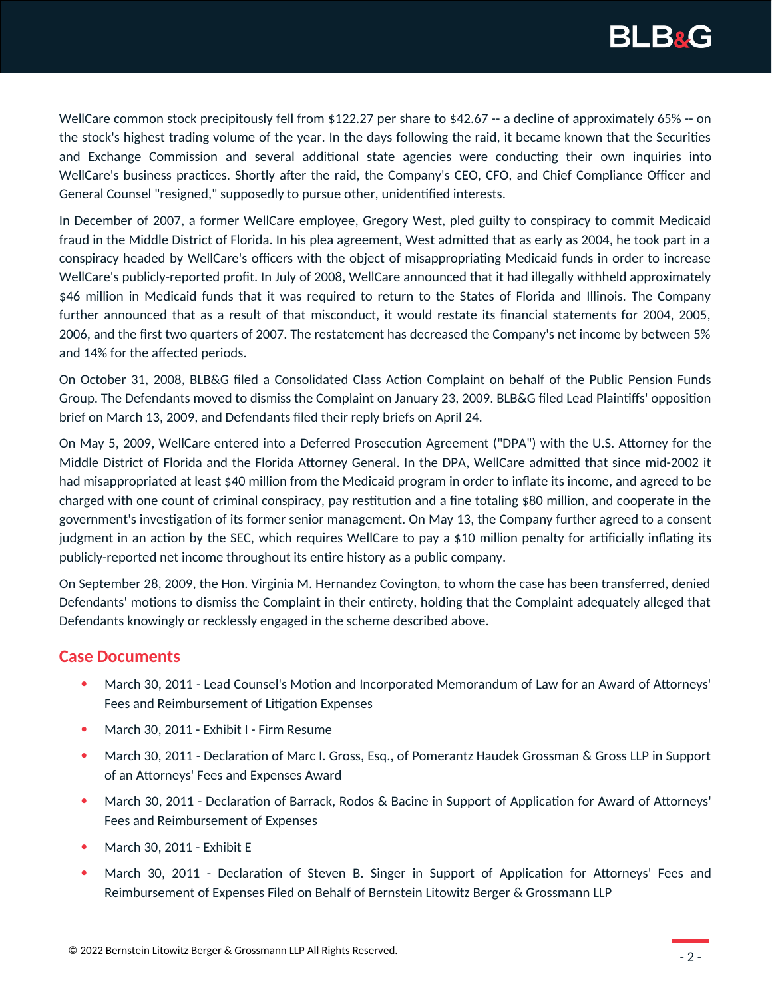

WellCare common stock precipitously fell from \$122.27 per share to \$42.67 -- a decline of approximately 65% -- on the stock's highest trading volume of the year. In the days following the raid, it became known that the Securities and Exchange Commission and several additional state agencies were conducting their own inquiries into WellCare's business practices. Shortly after the raid, the Company's CEO, CFO, and Chief Compliance Officer and General Counsel "resigned," supposedly to pursue other, unidentified interests.

In December of 2007, a former WellCare employee, Gregory West, pled guilty to conspiracy to commit Medicaid fraud in the Middle District of Florida. In his plea agreement, West admitted that as early as 2004, he took part in a conspiracy headed by WellCare's officers with the object of misappropriating Medicaid funds in order to increase WellCare's publicly-reported profit. In July of 2008, WellCare announced that it had illegally withheld approximately \$46 million in Medicaid funds that it was required to return to the States of Florida and Illinois. The Company further announced that as a result of that misconduct, it would restate its financial statements for 2004, 2005, 2006, and the first two quarters of 2007. The restatement has decreased the Company's net income by between 5% and 14% for the affected periods.

On October 31, 2008, BLB&G filed a Consolidated Class Action Complaint on behalf of the Public Pension Funds Group. The Defendants moved to dismiss the Complaint on January 23, 2009. BLB&G filed Lead Plaintiffs' opposition brief on March 13, 2009, and Defendants filed their reply briefs on April 24.

On May 5, 2009, WellCare entered into a Deferred Prosecution Agreement ("DPA") with the U.S. Attorney for the Middle District of Florida and the Florida Attorney General. In the DPA, WellCare admitted that since mid-2002 it had misappropriated at least \$40 million from the Medicaid program in order to inflate its income, and agreed to be charged with one count of criminal conspiracy, pay restitution and a fine totaling \$80 million, and cooperate in the government's investigation of its former senior management. On May 13, the Company further agreed to a consent judgment in an action by the SEC, which requires WellCare to pay a \$10 million penalty for artificially inflating its publicly-reported net income throughout its entire history as a public company.

On September 28, 2009, the Hon. Virginia M. Hernandez Covington, to whom the case has been transferred, denied Defendants' motions to dismiss the Complaint in their entirety, holding that the Complaint adequately alleged that Defendants knowingly or recklessly engaged in the scheme described above.

## **Case Documents**

- March 30, 2011 Lead Counsel's Motion and Incorporated Memorandum of Law for an Award of Attorneys' Fees and Reimbursement of Litigation Expenses
- March 30, 2011 Exhibit I Firm Resume
- **March 30, 2011 Declaration of Marc I. Gross, Esq., of Pomerantz Haudek Grossman & Gross LLP in Support 6** of an Attorneys' Fees and Expenses Award
- March 30, 2011 Declaration of Barrack, Rodos & Bacine in Support of Application for Award of Attorneys' Fees and Reimbursement of Expenses
- March 30, 2011 Exhibit E
- March 30, 2011 Declaration of Steven B. Singer in Support of Application for Attorneys' Fees and Reimbursement of Expenses Filed on Behalf of Bernstein Litowitz Berger & Grossmann LLP